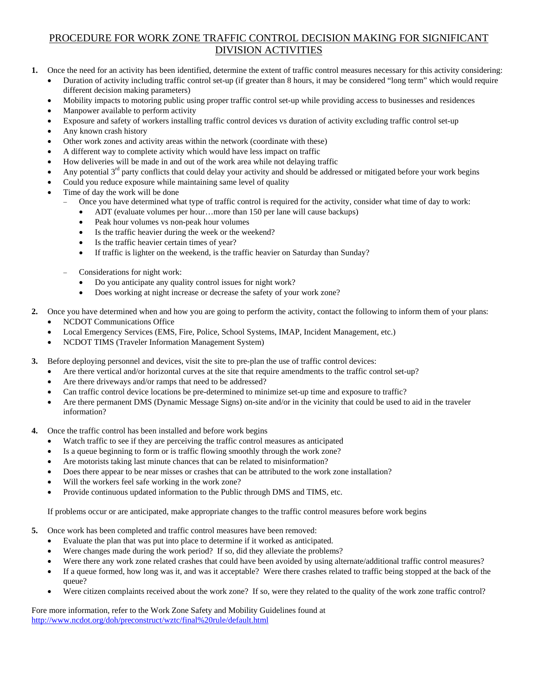## PROCEDURE FOR WORK ZONE TRAFFIC CONTROL DECISION MAKING FOR SIGNIFICANT DIVISION ACTIVITIES

**1.** Once the need for an activity has been identified, determine the extent of traffic control measures necessary for this activity considering:

• Duration of activity including traffic control set-up (if greater than 8 hours, it may be considered "long term" which would require different decision making parameters)

- Mobility impacts to motoring public using proper traffic control set-up while providing access to businesses and residences
- Manpower available to perform activity
- Exposure and safety of workers installing traffic control devices vs duration of activity excluding traffic control set-up
- Any known crash history
- Other work zones and activity areas within the network (coordinate with these)
- A different way to complete activity which would have less impact on traffic
- How deliveries will be made in and out of the work area while not delaying traffic
- Any potential  $3<sup>rd</sup>$  party conflicts that could delay your activity and should be addressed or mitigated before your work begins
- Could you reduce exposure while maintaining same level of quality
- Time of day the work will be done
	- − Once you have determined what type of traffic control is required for the activity, consider what time of day to work:
		- ADT (evaluate volumes per hour…more than 150 per lane will cause backups)
		- Peak hour volumes vs non-peak hour volumes
		- Is the traffic heavier during the week or the weekend?
		- Is the traffic heavier certain times of year?
		- If traffic is lighter on the weekend, is the traffic heavier on Saturday than Sunday?
	- − Considerations for night work:
		- Do you anticipate any quality control issues for night work?
		- Does working at night increase or decrease the safety of your work zone?
- **2.** Once you have determined when and how you are going to perform the activity, contact the following to inform them of your plans: • NCDOT Communications Office
	- Local Emergency Services (EMS, Fire, Police, School Systems, IMAP, Incident Management, etc.)
	- NCDOT TIMS (Traveler Information Management System)
- **3.** Before deploying personnel and devices, visit the site to pre-plan the use of traffic control devices:
	- Are there vertical and/or horizontal curves at the site that require amendments to the traffic control set-up?
	- Are there driveways and/or ramps that need to be addressed?
	- Can traffic control device locations be pre-determined to minimize set-up time and exposure to traffic?
	- Are there permanent DMS (Dynamic Message Signs) on-site and/or in the vicinity that could be used to aid in the traveler information?
- **4.** Once the traffic control has been installed and before work begins
	- Watch traffic to see if they are perceiving the traffic control measures as anticipated
	- Is a queue beginning to form or is traffic flowing smoothly through the work zone?
	- Are motorists taking last minute chances that can be related to misinformation?
	- Does there appear to be near misses or crashes that can be attributed to the work zone installation?
	- Will the workers feel safe working in the work zone?
	- Provide continuous updated information to the Public through DMS and TIMS, etc.

If problems occur or are anticipated, make appropriate changes to the traffic control measures before work begins

- **5.** Once work has been completed and traffic control measures have been removed:
	- Evaluate the plan that was put into place to determine if it worked as anticipated.
	- Were changes made during the work period? If so, did they alleviate the problems?
	- Were there any work zone related crashes that could have been avoided by using alternate/additional traffic control measures?
	- If a queue formed, how long was it, and was it acceptable? Were there crashes related to traffic being stopped at the back of the queue?
	- Were citizen complaints received about the work zone? If so, were they related to the quality of the work zone traffic control?

Fore more information, refer to the Work Zone Safety and Mobility Guidelines found at http://www.ncdot.org/doh/preconstruct/wztc/final%20rule/default.html